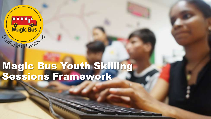

### Magic Bus Youth Skilling Sessions Framework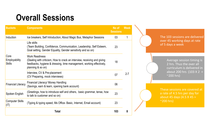### **Overall Sessions**

| <b>Buckets</b>                                                                                                                    | <b>Components</b>                                                                                                                                                                              |     | <b>Week</b> |
|-----------------------------------------------------------------------------------------------------------------------------------|------------------------------------------------------------------------------------------------------------------------------------------------------------------------------------------------|-----|-------------|
| Induction                                                                                                                         | Ice breakers, Self Introduction, About Magic Bus, Metaphor Sessions                                                                                                                            |     |             |
| Core<br><b>Employability</b><br><b>Skills</b>                                                                                     | Life skills<br>(Team Building, Confidence, Communication, Leadership, Self Esteem,<br>Goal setting, Gender Equality, Gender sensitivity and so on)                                             | 23  |             |
|                                                                                                                                   | <b>Work Readiness</b><br>(Dealing with criticism, How to crack an interview, receiving and giving<br>feedbacks, hygiene & dressing, time management, working effectively,<br>planning & so on) | 18  |             |
|                                                                                                                                   | Interview, CV & Pre-placement<br>(CV Preparing, mock interviews)                                                                                                                               | 07  | $2 - 7$     |
| <b>Financial Literacy</b>                                                                                                         | Financial Literacy/ Money Handling<br>06<br>(Savings, earn & learn, opening bank account)                                                                                                      |     |             |
| (Greetings, how to introduce self and others, basic grammar, tense, how<br>23<br>Spoken English<br>to talk to customer and so on) |                                                                                                                                                                                                |     |             |
| <b>Computer Skills</b><br>(IT)                                                                                                    | (Typing & typing speed, Ms Office- Basic, Internet, Email account)                                                                                                                             | 23  |             |
|                                                                                                                                   | Total                                                                                                                                                                                          | 103 | 8           |

The 103 sessions are delivered over 45 working days at rate of 5 days a week

> Average session timing is 2 hrs. Thus the over all curriculum is delivered in about 200 hrs  $(103 \times 2 =$  $^{\sim}$ 200 hrs)

These sessions are covered at a rate of 4.5 hrs per day for about 45 days  $(4.5 \times 45)$  =  $^{\sim}$ 200 hrs)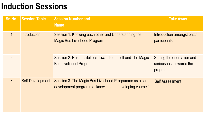### **Induction Sessions**

| Sr. No.        | <b>Session Topic</b>    | <b>Session Number and</b><br><b>Name</b>                                                                           | <b>Take Away</b>                                                  |
|----------------|-------------------------|--------------------------------------------------------------------------------------------------------------------|-------------------------------------------------------------------|
| $\mathbf 1$    | <b>Introduction</b>     | Session 1: Knowing each other and Understanding the<br><b>Magic Bus Livelihood Program</b>                         | Introduction amongst batch<br>participants                        |
| $\overline{2}$ |                         | Session 2: Responsibilities Towards oneself and The Magic<br><b>Bus Livelihood Programme</b>                       | Setting the orientation and<br>seriousness towards the<br>program |
| 3 <sup>1</sup> | <b>Self-Development</b> | Session 3: The Magic Bus Livelihood Programme as a self-<br>development programme: knowing and developing yourself | <b>Self Assessment</b>                                            |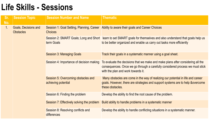| Sr.<br>No.  | <b>Session Topic</b>                                 | <b>Session Number and Name</b>                                                                                                                          | <b>Thematic</b>                                                                                                                                                                                        |
|-------------|------------------------------------------------------|---------------------------------------------------------------------------------------------------------------------------------------------------------|--------------------------------------------------------------------------------------------------------------------------------------------------------------------------------------------------------|
| $1_{\cdot}$ | <b>Goals, Decisions and</b><br><b>Obstacles</b>      | Session 1: Goal Setting, Planning, Career<br><b>Choices</b>                                                                                             | Ability to aware their goals and Career Choices                                                                                                                                                        |
|             | Session 2: SMART Goals; Long and Short<br>term Goals | learn to set SMART goals for themselves and also understand that goals help us<br>to be better organized and enable us carry out tasks more efficiently |                                                                                                                                                                                                        |
|             |                                                      | <b>Session 3: Managing Goals</b>                                                                                                                        | Track their goals in a systematic manner using a goal sheet.                                                                                                                                           |
|             |                                                      | Session 4: Importance of decision making                                                                                                                | To evaluate the decisions that we make and make plans after considering all the<br>consequences. Once we go through a carefully considered process we must stick<br>with the plan and work towards it. |
|             |                                                      | Session 5: Overcoming obstacles and<br>achieving potential                                                                                              | Many obstacles are come in the way of realizing our potential in life and career<br>goals. However, there are strategies and support systems are to help & overcome<br>these obstacles.                |
|             |                                                      | Session 6: Finding the problem                                                                                                                          | Develop the ability to find the root cause of the problem.                                                                                                                                             |
|             |                                                      | Session 7: Effectively solving the problem                                                                                                              | Build ability to handle problems in a systematic manner                                                                                                                                                |
|             |                                                      | Session 8: Resolving conflicts and<br>differences                                                                                                       | Develop the ability to handle conflicting situations in a systematic manner.                                                                                                                           |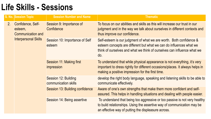|                             | <b>S. No. Session Topic</b>                              | <b>Session Number and Name</b>                                                                                                                                                                                               | <b>Thematic</b>                                                                                                                                                                          |
|-----------------------------|----------------------------------------------------------|------------------------------------------------------------------------------------------------------------------------------------------------------------------------------------------------------------------------------|------------------------------------------------------------------------------------------------------------------------------------------------------------------------------------------|
| $2_{\cdot}$                 | Confidence, Self-<br>esteem,<br><b>Communication and</b> | Session 9: Importance of<br>Confidence                                                                                                                                                                                       | To focus on our abilities and skills as this will increase our trust in our<br>judgment and in the way we talk about ourselves in different contexts and<br>thus improve our confidence. |
| <b>Interpersonal Skills</b> | Session 10: Importance of Self<br>esteem                 | Self-esteem is our judgment of what we are worth. Both confidence &<br>esteem concepts are different but what we can do influences what we<br>think of ourselves and what we think of ourselves can influence what we<br>do. |                                                                                                                                                                                          |
|                             | Session 11: Making first<br><i>impression</i>            | To understand that while physical appearance is not everything, it's very<br>important to dress rightly for different occasions/places. It always helps in<br>making a positive impression for the first time.               |                                                                                                                                                                                          |
|                             |                                                          | Session 12: Building<br>communication skills                                                                                                                                                                                 | develop the right body language, speaking and listening skills to be able to<br>communicate effectively.                                                                                 |
|                             |                                                          | Session 13: Building confidence                                                                                                                                                                                              | Aware of one's own strengths that make them more confident and self-<br>assured. This helps in handling situations and dealing with people easier.                                       |
|                             | Session 14: Being assertive                              | To understand that being too aggressive or too passive is not very healthy<br>to build relationships. Using the assertive way of communication may be<br>an effective way of putting the displeasure across.                 |                                                                                                                                                                                          |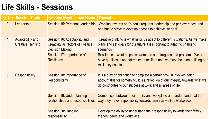|                                                           | <b>Sr. No. Session Topic</b>                                                                       | <b>Session Number and Name Thematic</b>                                                                                                                                                                                   |                                                                                                                                                                                |
|-----------------------------------------------------------|----------------------------------------------------------------------------------------------------|---------------------------------------------------------------------------------------------------------------------------------------------------------------------------------------------------------------------------|--------------------------------------------------------------------------------------------------------------------------------------------------------------------------------|
| 3 <sub>1</sub>                                            | Leadership                                                                                         | Session 15: Personal Leadership                                                                                                                                                                                           | Working towards one's goals requires leadership and perseverance, and<br>one has to strive to develop oneself to achieve life goal                                             |
| <b>Adaptability and</b><br>4.<br><b>Creative Thinking</b> | Session 16: Adaptability and<br><b>Creativity as factors of Positive</b><br><b>Decision Making</b> | Creative thinking is what helps us adapt to different situations. As we make<br>plans and set goals for our future it is important to adapt to changing<br>scenarios                                                      |                                                                                                                                                                                |
|                                                           |                                                                                                    | Session 17: Importance of<br><b>Resilience</b>                                                                                                                                                                            | Resilience is what helps us overcome our struggles and problems. We all<br>have qualities in us that make us resilient and we must focus on building our<br>resiliency assets. |
| 5.<br><b>Responsibility</b>                               | Session 18: Importance of<br><b>Responsibility</b>                                                 | It is a duty or obligation to complete a certain task. It involves being<br>accountable for something. It is a reflection of our integrity towards what we<br>do contributes to our success at work and all areas of life |                                                                                                                                                                                |
|                                                           | Session 19: Understanding<br>relationships and responsibilities                                    | Comparison between their family and workplace and understand that the<br>way they have responsibility towards family as well as workplace.                                                                                |                                                                                                                                                                                |
|                                                           |                                                                                                    | Session 20: Handling<br>responsibility                                                                                                                                                                                    | Develop the ability to understand their responsibility towards their family,<br>friends, peers and workplace.                                                                  |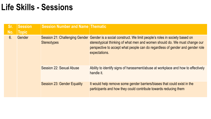| Sr.<br>No. | <b>Session</b><br><b>Topic</b> | <b>Session Number and Name Thematic</b> |                                                                                                                                                                                                                                                                                          |
|------------|--------------------------------|-----------------------------------------|------------------------------------------------------------------------------------------------------------------------------------------------------------------------------------------------------------------------------------------------------------------------------------------|
| 6.         | Gender                         | <b>Stereotypes</b>                      | Session 21: Challenging Gender Gender is a social construct. We limit people's roles in society based on<br>stereotypical thinking of what men and women should do. We must change our<br>perspective to accept what people can do regardless of gender and gender role<br>expectations. |
|            |                                | Session 22: Sexual Abuse                | Ability to identify signs of harassment/abuse at workplace and how to effectively<br>handle it.                                                                                                                                                                                          |
|            |                                | <b>Session 23: Gender Equality</b>      | It would help remove some gender barriers/biases that could exist in the<br>participants and how they could contribute towards reducing them                                                                                                                                             |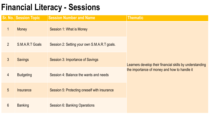### **Financial Literacy - Sessions**

|                 | Sr. No. Session Topic | <b>Session Number and Name</b>               | <b>Thematic</b>                                          |
|-----------------|-----------------------|----------------------------------------------|----------------------------------------------------------|
| $\mathbf 1$     | <b>Money</b>          | Session 1: What is Money                     |                                                          |
| $\overline{2}$  | S.M.A.R.T Goals       | Session 2: Setting your own S.M.A.R.T goals. |                                                          |
| 3               | <b>Savings</b>        | <b>Session 3: Importance of Savings</b>      | Learners develop their financial skills by understanding |
| $\overline{4}$  | <b>Budgeting</b>      | Session 4: Balance the wants and needs       | the importance of money and how to handle it             |
| 5               | Insurance             | Session 5: Protecting oneself with insurance |                                                          |
| $6\overline{6}$ | <b>Banking</b>        | <b>Session 6: Banking Operations</b>         |                                                          |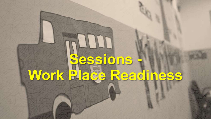## **Sessions - Work Place Readiness**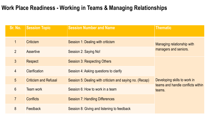#### **Work Place Readiness - Working in Teams & Managing Relationships**

| Sr. No.          | <b>Session Topic</b>         | <b>Session Number and Name</b>                           | <b>Thematic</b>                             |
|------------------|------------------------------|----------------------------------------------------------|---------------------------------------------|
| $\mathbf 1$      | <b>Criticism</b>             | Session 1: Dealing with criticism                        | Managing relationship with                  |
| $\overline{2}$   | <b>Assertive</b>             | Session 2: Saying No!                                    | managers and seniors.                       |
| 3 <sup>2</sup>   | <b>Respect</b>               | <b>Session 3: Respecting Others</b>                      |                                             |
| $\overline{4}$   | <b>Clarification</b>         | Session 4: Asking questions to clarify                   |                                             |
| 5                | <b>Criticism and Refusal</b> | Session 5: Dealing with criticism and saying no. (Recap) | Developing skills to work in                |
| $6 \overline{6}$ | <b>Team work</b>             | Session 6: How to work in a team                         | teams and handle conflicts within<br>teams. |
| $\overline{7}$   | <b>Conflicts</b>             | <b>Session 7: Handling Differences</b>                   |                                             |
| 8                | Feedback                     | Session 8: Giving and listening to feedback              |                                             |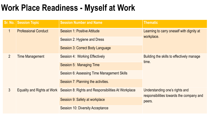### **Work Place Readiness - Myself at Work**

|                                          | Sr. No.   Session Topic        | <b>Session Number and Name</b>                                                  | <b>Thematic</b>                                    |
|------------------------------------------|--------------------------------|---------------------------------------------------------------------------------|----------------------------------------------------|
| $\mathbf 1$                              | <b>Professional Conduct</b>    | <b>Session 1: Positive Attitude</b>                                             | Learning to carry oneself with dignity at          |
|                                          |                                | Session 2: Hygiene and Dress                                                    | workplace.                                         |
|                                          |                                | Session 3: Correct Body Language                                                |                                                    |
| 2 <sup>1</sup><br><b>Time Management</b> | Session 4: Working Effectively | Building the skills to effectively manage                                       |                                                    |
|                                          |                                | <b>Session 5: Managing Time</b>                                                 | time.                                              |
|                                          |                                | <b>Session 6: Assessing Time Management Skills</b>                              |                                                    |
|                                          |                                | Session 7: Planning the activities.                                             |                                                    |
| $3\overline{3}$                          |                                | Equality and Rights at Work Session 8: Rights and Responsibilities At Workplace | Understanding one's rights and                     |
|                                          |                                | Session 9: Safety at workplace                                                  | responsibilities towards the company and<br>peers. |
|                                          |                                | <b>Session 10: Diversity Acceptance</b>                                         |                                                    |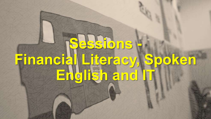# **Sessions - Financial Literacy, Spoken English and IT**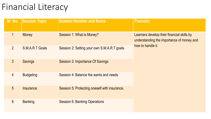### Financial Literacy

|                | Sr. No. Session Topic | <b>Session Number and Name</b>                | <b>Thematic</b>                                                                         |
|----------------|-----------------------|-----------------------------------------------|-----------------------------------------------------------------------------------------|
| $\mathbf 1$    | <b>Money</b>          | Session 1: What is Money?                     | Learners develop their financial skills by<br>understanding the importance of money and |
| $\overline{2}$ | S.M.A.R.T Goals       | Session 2: Setting your own S.M.A.R.T goals.  | how to handle it.                                                                       |
| 3 <sup>1</sup> | <b>Savings</b>        | Session 3: Importance Of Savings              |                                                                                         |
| $\overline{4}$ | <b>Budgeting</b>      | Session 4: Balance the wants and needs        |                                                                                         |
| 5              | <b>Insurance</b>      | Session 5: Protecting oneself with insurance. |                                                                                         |
| $6\phantom{1}$ | <b>Banking</b>        | <b>Session 6: Banking Operations</b>          |                                                                                         |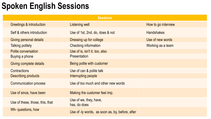### **Spoken English Sessions**

| <b>Sessions</b>                 |                                                 |                     |  |
|---------------------------------|-------------------------------------------------|---------------------|--|
| Greetings & introduction        | Listening well                                  | How to go interview |  |
| Self & others introduction      | Use of 1st, 2nd, do, does & not                 | <b>Handshakes</b>   |  |
| Giving personal details         | Dressing up for college                         | Use of new words    |  |
| <b>Talking politely</b>         | Checking information                            | Working as a team   |  |
| <b>Polite conversation</b>      | Use of is, isn't it, too, also                  |                     |  |
| Buying a phone                  | Presentation                                    |                     |  |
| Giving complete details         | Being polite with customer                      |                     |  |
| Contractions                    | Use of can & polite talk                        |                     |  |
| <b>Describing products</b>      | Interrupting people                             |                     |  |
| <b>Communication process</b>    | Use of too much and other new words             |                     |  |
| Use of since, have been         | Making the customer feel imp.                   |                     |  |
| Use of these, those, this, that | Use of we, they, have,<br>has, do does          |                     |  |
| Wh- questions, how              | Use of -ly words, as soon as, by, before, after |                     |  |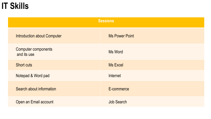### **IT Skills**

| <b>Sessions</b>                           |                       |  |
|-------------------------------------------|-----------------------|--|
| <b>Introduction about Computer</b>        | <b>Ms Power Point</b> |  |
| <b>Computer components</b><br>and its use | <b>Ms Word</b>        |  |
| <b>Short cuts</b>                         | <b>Ms Excel</b>       |  |
| Notepad & Word pad                        | Internet              |  |
| Search about information                  | E-commerce            |  |
| Open an Email account                     | <b>Job Search</b>     |  |